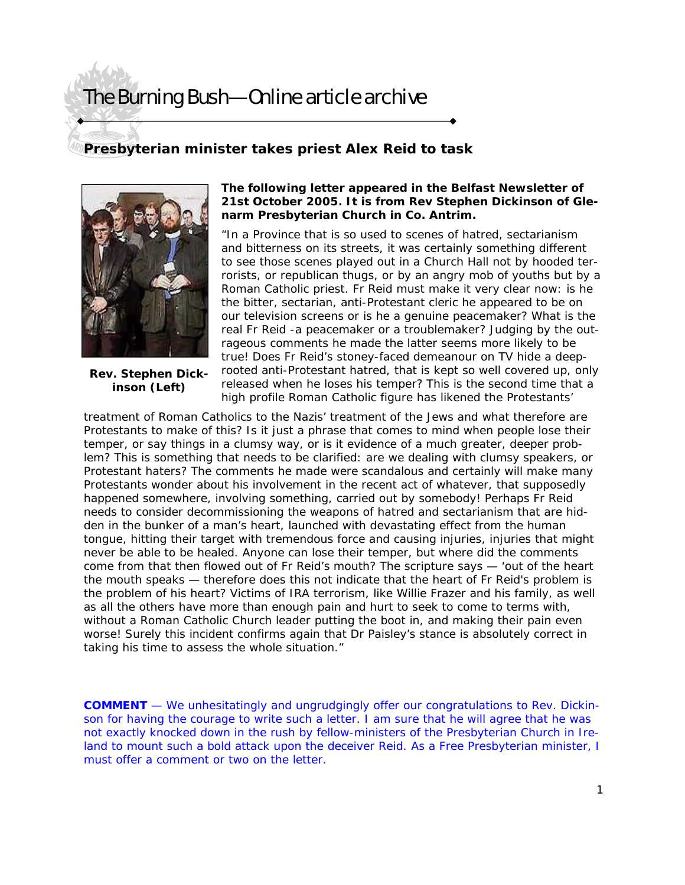# The Burning Bush—Online article archive

### **Presbyterian minister takes priest Alex Reid to task**



**Rev. Stephen Dickinson (Left)** 

#### **The following letter appeared in the Belfast Newsletter of 21st October 2005. It is from Rev Stephen Dickinson of Glenarm Presbyterian Church in Co. Antrim.**

"In a Province that is so used to scenes of hatred, sectarianism and bitterness on its streets, it was certainly something different to see those scenes played out in a Church Hall not by hooded terrorists, or republican thugs, or by an angry mob of youths but by a Roman Catholic priest. Fr Reid must make it very clear now: is he the bitter, sectarian, anti-Protestant cleric he appeared to be on our television screens or is he a genuine peacemaker? What is the real Fr Reid -a peacemaker or a troublemaker? Judging by the outrageous comments he made the latter seems more likely to be true! Does Fr Reid's stoney-faced demeanour on TV hide a deeprooted anti-Protestant hatred, that is kept so well covered up, only released when he loses his temper? This is the second time that a high profile Roman Catholic figure has likened the Protestants'

treatment of Roman Catholics to the Nazis' treatment of the Jews and what therefore are Protestants to make of this? Is it just a phrase that comes to mind when people lose their temper, or say things in a clumsy way, or is it evidence of a much greater, deeper problem? This is something that needs to be clarified: are we dealing with clumsy speakers, or Protestant haters? The comments he made were scandalous and certainly will make many Protestants wonder about his involvement in the recent act of whatever, that supposedly happened somewhere, involving something, carried out by somebody! Perhaps Fr Reid needs to consider decommissioning the weapons of hatred and sectarianism that are hidden in the bunker of a man's heart, launched with devastating effect from the human tongue, hitting their target with tremendous force and causing injuries, injuries that might never be able to be healed. Anyone can lose their temper, but where did the comments come from that then flowed out of Fr Reid's mouth? The scripture says — 'out of the heart the mouth speaks — therefore does this not indicate that the heart of Fr Reid's problem is the problem of his heart? Victims of IRA terrorism, like Willie Frazer and his family, as well as all the others have more than enough pain and hurt to seek to come to terms with, without a Roman Catholic Church leader putting the boot in, and making their pain even worse! Surely this incident confirms again that Dr Paisley's stance is absolutely correct in taking his time to assess the whole situation."

**COMMENT** — We unhesitatingly and ungrudgingly offer our congratulations to Rev. Dickinson for having the courage to write such a letter. I am sure that he will agree that he was not exactly knocked down in the rush by fellow-ministers of the Presbyterian Church in Ireland to mount such a bold attack upon the deceiver Reid. As a Free Presbyterian minister, I must offer a comment or two on the letter.